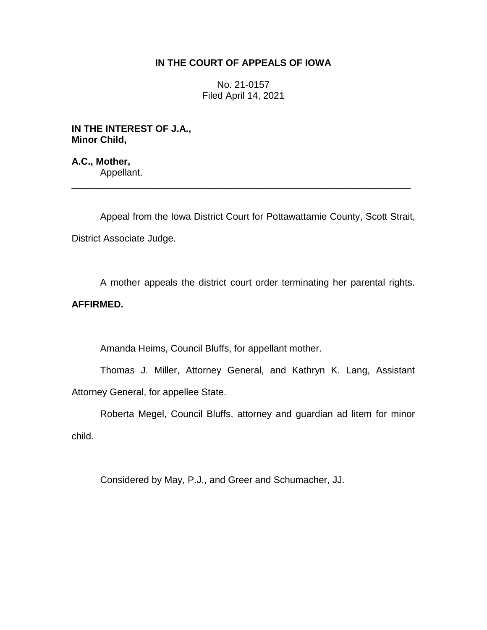# **IN THE COURT OF APPEALS OF IOWA**

No. 21-0157 Filed April 14, 2021

**IN THE INTEREST OF J.A., Minor Child,**

**A.C., Mother,** Appellant.

Appeal from the Iowa District Court for Pottawattamie County, Scott Strait, District Associate Judge.

\_\_\_\_\_\_\_\_\_\_\_\_\_\_\_\_\_\_\_\_\_\_\_\_\_\_\_\_\_\_\_\_\_\_\_\_\_\_\_\_\_\_\_\_\_\_\_\_\_\_\_\_\_\_\_\_\_\_\_\_\_\_\_\_

A mother appeals the district court order terminating her parental rights.

# **AFFIRMED.**

Amanda Heims, Council Bluffs, for appellant mother.

Thomas J. Miller, Attorney General, and Kathryn K. Lang, Assistant Attorney General, for appellee State.

Roberta Megel, Council Bluffs, attorney and guardian ad litem for minor child.

Considered by May, P.J., and Greer and Schumacher, JJ.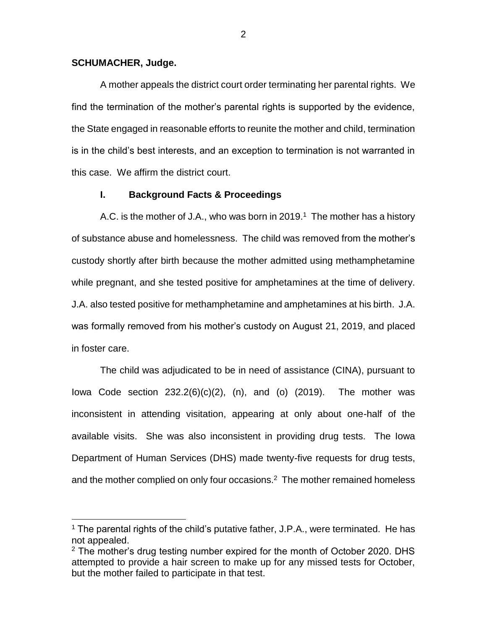### **SCHUMACHER, Judge.**

 $\overline{a}$ 

A mother appeals the district court order terminating her parental rights. We find the termination of the mother's parental rights is supported by the evidence, the State engaged in reasonable efforts to reunite the mother and child, termination is in the child's best interests, and an exception to termination is not warranted in this case. We affirm the district court.

### **I. Background Facts & Proceedings**

A.C. is the mother of J.A., who was born in 2019.<sup>1</sup> The mother has a history of substance abuse and homelessness. The child was removed from the mother's custody shortly after birth because the mother admitted using methamphetamine while pregnant, and she tested positive for amphetamines at the time of delivery. J.A. also tested positive for methamphetamine and amphetamines at his birth. J.A. was formally removed from his mother's custody on August 21, 2019, and placed in foster care.

The child was adjudicated to be in need of assistance (CINA), pursuant to Iowa Code section  $232.2(6)(c)(2)$ , (n), and (o)  $(2019)$ . The mother was inconsistent in attending visitation, appearing at only about one-half of the available visits. She was also inconsistent in providing drug tests. The Iowa Department of Human Services (DHS) made twenty-five requests for drug tests, and the mother complied on only four occasions. $2$  The mother remained homeless

 $1$  The parental rights of the child's putative father, J.P.A., were terminated. He has not appealed.

 $2$  The mother's drug testing number expired for the month of October 2020. DHS attempted to provide a hair screen to make up for any missed tests for October, but the mother failed to participate in that test.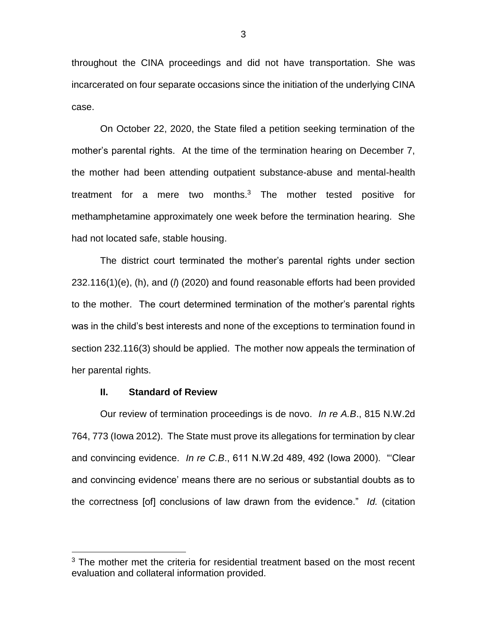throughout the CINA proceedings and did not have transportation. She was incarcerated on four separate occasions since the initiation of the underlying CINA case.

On October 22, 2020, the State filed a petition seeking termination of the mother's parental rights. At the time of the termination hearing on December 7, the mother had been attending outpatient substance-abuse and mental-health treatment for a mere two months.<sup>3</sup> The mother tested positive for methamphetamine approximately one week before the termination hearing. She had not located safe, stable housing.

The district court terminated the mother's parental rights under section 232.116(1)(e), (h), and (*l*) (2020) and found reasonable efforts had been provided to the mother. The court determined termination of the mother's parental rights was in the child's best interests and none of the exceptions to termination found in section 232.116(3) should be applied. The mother now appeals the termination of her parental rights.

### **II. Standard of Review**

 $\overline{a}$ 

Our review of termination proceedings is de novo. *In re A.B*., 815 N.W.2d 764, 773 (Iowa 2012). The State must prove its allegations for termination by clear and convincing evidence. *In re C.B*., 611 N.W.2d 489, 492 (Iowa 2000). "'Clear and convincing evidence' means there are no serious or substantial doubts as to the correctness [of] conclusions of law drawn from the evidence." *Id.* (citation

<sup>&</sup>lt;sup>3</sup> The mother met the criteria for residential treatment based on the most recent evaluation and collateral information provided.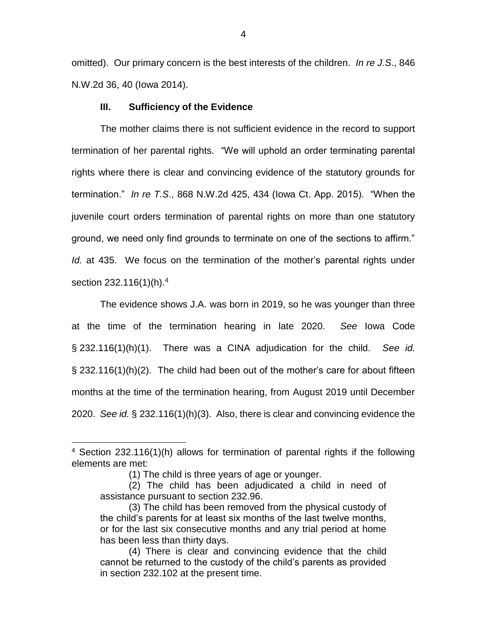omitted). Our primary concern is the best interests of the children. *In re J.S*., 846 N.W.2d 36, 40 (Iowa 2014).

## **III. Sufficiency of the Evidence**

The mother claims there is not sufficient evidence in the record to support termination of her parental rights. "We will uphold an order terminating parental rights where there is clear and convincing evidence of the statutory grounds for termination." *In re T.S*., 868 N.W.2d 425, 434 (Iowa Ct. App. 2015). "When the juvenile court orders termination of parental rights on more than one statutory ground, we need only find grounds to terminate on one of the sections to affirm." *Id.* at 435. We focus on the termination of the mother's parental rights under section 232.116(1)(h).<sup>4</sup>

The evidence shows J.A. was born in 2019, so he was younger than three at the time of the termination hearing in late 2020. *See* Iowa Code § 232.116(1)(h)(1). There was a CINA adjudication for the child. *See id.* § 232.116(1)(h)(2). The child had been out of the mother's care for about fifteen months at the time of the termination hearing, from August 2019 until December 2020. *See id.* § 232.116(1)(h)(3). Also, there is clear and convincing evidence the

 $\overline{a}$ 

<sup>&</sup>lt;sup>4</sup> Section 232.116(1)(h) allows for termination of parental rights if the following elements are met:

<sup>(1)</sup> The child is three years of age or younger.

<sup>(2)</sup> The child has been adjudicated a child in need of assistance pursuant to section 232.96.

<sup>(3)</sup> The child has been removed from the physical custody of the child's parents for at least six months of the last twelve months, or for the last six consecutive months and any trial period at home has been less than thirty days.

<sup>(4)</sup> There is clear and convincing evidence that the child cannot be returned to the custody of the child's parents as provided in section 232.102 at the present time.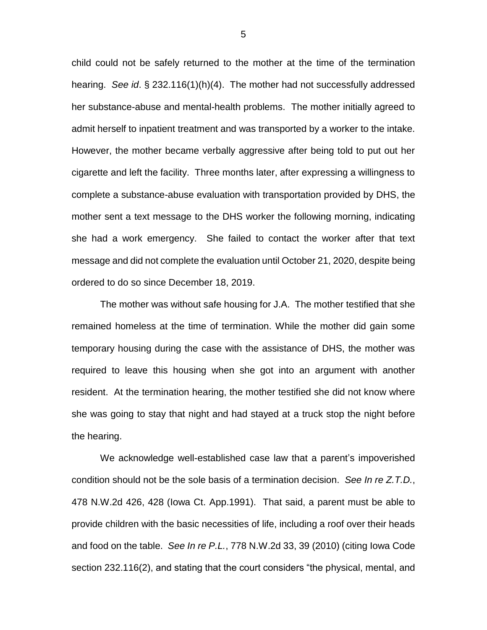child could not be safely returned to the mother at the time of the termination hearing. *See id*. § 232.116(1)(h)(4). The mother had not successfully addressed her substance-abuse and mental-health problems. The mother initially agreed to admit herself to inpatient treatment and was transported by a worker to the intake. However, the mother became verbally aggressive after being told to put out her cigarette and left the facility. Three months later, after expressing a willingness to complete a substance-abuse evaluation with transportation provided by DHS, the mother sent a text message to the DHS worker the following morning, indicating she had a work emergency. She failed to contact the worker after that text message and did not complete the evaluation until October 21, 2020, despite being ordered to do so since December 18, 2019.

The mother was without safe housing for J.A. The mother testified that she remained homeless at the time of termination. While the mother did gain some temporary housing during the case with the assistance of DHS, the mother was required to leave this housing when she got into an argument with another resident. At the termination hearing, the mother testified she did not know where she was going to stay that night and had stayed at a truck stop the night before the hearing.

We acknowledge well-established case law that a parent's impoverished condition should not be the sole basis of a termination decision. *See In re Z.T.D.*, 478 N.W.2d 426, 428 (Iowa Ct. App.1991). That said, a parent must be able to provide children with the basic necessities of life, including a roof over their heads and food on the table. *See In re P.L.*, 778 N.W.2d 33, 39 (2010) (citing Iowa Code section 232.116(2), and stating that the court considers "the physical, mental, and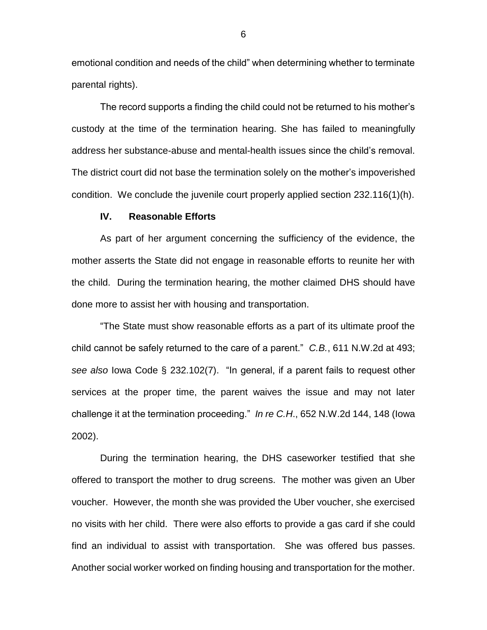emotional condition and needs of the child" when determining whether to terminate parental rights).

The record supports a finding the child could not be returned to his mother's custody at the time of the termination hearing. She has failed to meaningfully address her substance-abuse and mental-health issues since the child's removal. The district court did not base the termination solely on the mother's impoverished condition. We conclude the juvenile court properly applied section 232.116(1)(h).

#### **IV. Reasonable Efforts**

As part of her argument concerning the sufficiency of the evidence, the mother asserts the State did not engage in reasonable efforts to reunite her with the child. During the termination hearing, the mother claimed DHS should have done more to assist her with housing and transportation.

"The State must show reasonable efforts as a part of its ultimate proof the child cannot be safely returned to the care of a parent." *C.B.*, 611 N.W.2d at 493; *see also* Iowa Code § 232.102(7). "In general, if a parent fails to request other services at the proper time, the parent waives the issue and may not later challenge it at the termination proceeding." *In re C.H*., 652 N.W.2d 144, 148 (Iowa 2002).

During the termination hearing, the DHS caseworker testified that she offered to transport the mother to drug screens. The mother was given an Uber voucher. However, the month she was provided the Uber voucher, she exercised no visits with her child. There were also efforts to provide a gas card if she could find an individual to assist with transportation. She was offered bus passes. Another social worker worked on finding housing and transportation for the mother.

6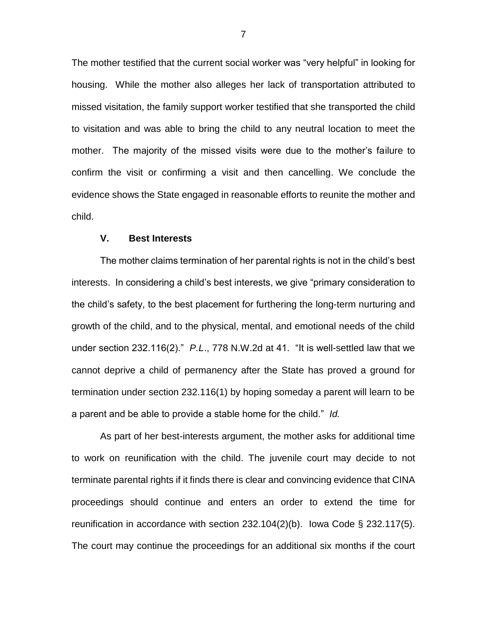The mother testified that the current social worker was "very helpful" in looking for housing. While the mother also alleges her lack of transportation attributed to missed visitation, the family support worker testified that she transported the child to visitation and was able to bring the child to any neutral location to meet the mother. The majority of the missed visits were due to the mother's failure to confirm the visit or confirming a visit and then cancelling. We conclude the evidence shows the State engaged in reasonable efforts to reunite the mother and child.

## **V. Best Interests**

The mother claims termination of her parental rights is not in the child's best interests. In considering a child's best interests, we give "primary consideration to the child's safety, to the best placement for furthering the long-term nurturing and growth of the child, and to the physical, mental, and emotional needs of the child under section 232.116(2)." *P.L*., 778 N.W.2d at 41. "It is well-settled law that we cannot deprive a child of permanency after the State has proved a ground for termination under section 232.116(1) by hoping someday a parent will learn to be a parent and be able to provide a stable home for the child." *Id.*

As part of her best-interests argument, the mother asks for additional time to work on reunification with the child. The juvenile court may decide to not terminate parental rights if it finds there is clear and convincing evidence that CINA proceedings should continue and enters an order to extend the time for reunification in accordance with section 232.104(2)(b). Iowa Code § 232.117(5). The court may continue the proceedings for an additional six months if the court

7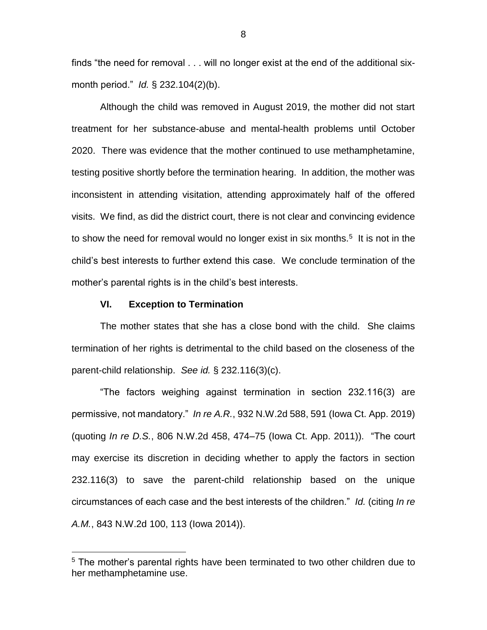finds "the need for removal . . . will no longer exist at the end of the additional sixmonth period." *Id.* § 232.104(2)(b).

Although the child was removed in August 2019, the mother did not start treatment for her substance-abuse and mental-health problems until October 2020. There was evidence that the mother continued to use methamphetamine, testing positive shortly before the termination hearing. In addition, the mother was inconsistent in attending visitation, attending approximately half of the offered visits. We find, as did the district court, there is not clear and convincing evidence to show the need for removal would no longer exist in six months.<sup>5</sup> It is not in the child's best interests to further extend this case. We conclude termination of the mother's parental rights is in the child's best interests.

### **VI. Exception to Termination**

 $\overline{a}$ 

The mother states that she has a close bond with the child. She claims termination of her rights is detrimental to the child based on the closeness of the parent-child relationship. *See id.* § 232.116(3)(c).

"The factors weighing against termination in section 232.116(3) are permissive, not mandatory." *In re A.R.*, 932 N.W.2d 588, 591 (Iowa Ct. App. 2019) (quoting *In re D.S.*, 806 N.W.2d 458, 474–75 (Iowa Ct. App. 2011)). "The court may exercise its discretion in deciding whether to apply the factors in section 232.116(3) to save the parent-child relationship based on the unique circumstances of each case and the best interests of the children." *Id.* (citing *In re A.M.*, 843 N.W.2d 100, 113 (Iowa 2014)).

<sup>&</sup>lt;sup>5</sup> The mother's parental rights have been terminated to two other children due to her methamphetamine use.